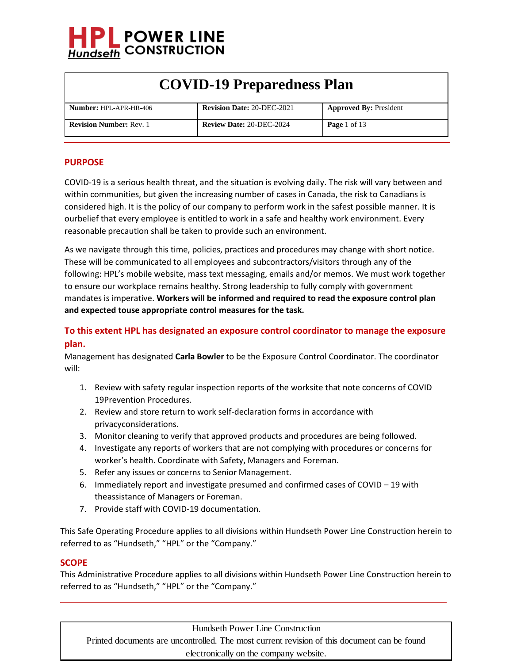

| <b>Number: HPL-APR-HR-406</b>  | <b>Revision Date: 20-DEC-2021</b> | <b>Approved By: President</b> |
|--------------------------------|-----------------------------------|-------------------------------|
| <b>Revision Number: Rev. 1</b> | <b>Review Date: 20-DEC-2024</b>   | <b>Page</b> 1 of 13           |

#### **PURPOSE**

COVID-19 is a serious health threat, and the situation is evolving daily. The risk will vary between and within communities, but given the increasing number of cases in Canada, the risk to Canadians is considered high. It is the policy of our company to perform work in the safest possible manner. It is ourbelief that every employee is entitled to work in a safe and healthy work environment. Every reasonable precaution shall be taken to provide such an environment.

As we navigate through this time, policies, practices and procedures may change with short notice. These will be communicated to all employees and subcontractors/visitors through any of the following: HPL's mobile website, mass text messaging, emails and/or memos. We must work together to ensure our workplace remains healthy. Strong leadership to fully comply with government mandates is imperative. **Workers will be informed and required to read the exposure control plan and expected touse appropriate control measures for the task.**

### **To this extent HPL has designated an exposure control coordinator to manage the exposure plan.**

Management has designated **Carla Bowler** to be the Exposure Control Coordinator. The coordinator will:

- 1. Review with safety regular inspection reports of the worksite that note concerns of COVID 19Prevention Procedures.
- 2. Review and store return to work self-declaration forms in accordance with privacyconsiderations.
- 3. Monitor cleaning to verify that approved products and procedures are being followed.
- 4. Investigate any reports of workers that are not complying with procedures or concerns for worker's health. Coordinate with Safety, Managers and Foreman.
- 5. Refer any issues or concerns to Senior Management.
- 6. Immediately report and investigate presumed and confirmed cases of COVID 19 with theassistance of Managers or Foreman.
- 7. Provide staff with COVID-19 documentation.

This Safe Operating Procedure applies to all divisions within Hundseth Power Line Construction herein to referred to as "Hundseth," "HPL" or the "Company."

#### **SCOPE**

This Administrative Procedure applies to all divisions within Hundseth Power Line Construction herein to referred to as "Hundseth," "HPL" or the "Company."

Hundseth Power Line Construction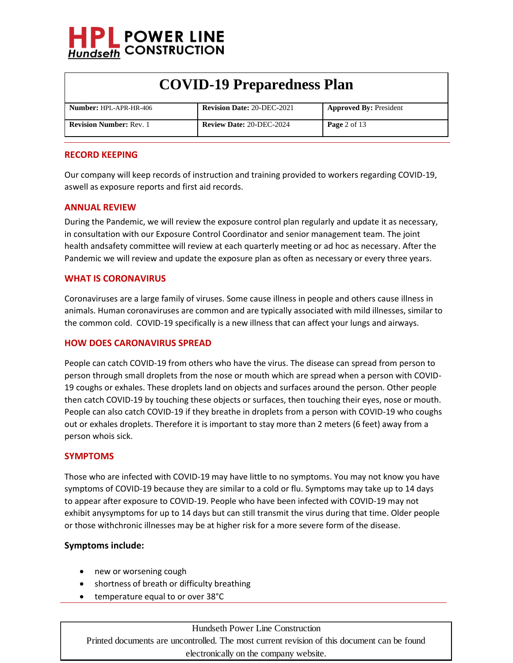

| <b>Number: HPL-APR-HR-406</b>  | <b>Revision Date: 20-DEC-2021</b> | <b>Approved By: President</b> |
|--------------------------------|-----------------------------------|-------------------------------|
| <b>Revision Number: Rev. 1</b> | <b>Review Date: 20-DEC-2024</b>   | <b>Page</b> 2 of 13           |

#### **RECORD KEEPING**

Our company will keep records of instruction and training provided to workers regarding COVID-19, aswell as exposure reports and first aid records.

#### **ANNUAL REVIEW**

During the Pandemic, we will review the exposure control plan regularly and update it as necessary, in consultation with our Exposure Control Coordinator and senior management team. The joint health andsafety committee will review at each quarterly meeting or ad hoc as necessary. After the Pandemic we will review and update the exposure plan as often as necessary or every three years.

#### **WHAT IS CORONAVIRUS**

Coronaviruses are a large family of viruses. Some cause illness in people and others cause illness in animals. Human coronaviruses are common and are typically associated with mild illnesses, similar to the common cold. COVID-19 specifically is a new illness that can affect your lungs and airways.

#### **HOW DOES CARONAVIRUS SPREAD**

People can catch COVID-19 from others who have the virus. The disease can spread from person to person through small droplets from the nose or mouth which are spread when a person with COVID-19 coughs or exhales. These droplets land on objects and surfaces around the person. Other people then catch COVID-19 by touching these objects or surfaces, then touching their eyes, nose or mouth. People can also catch COVID-19 if they breathe in droplets from a person with COVID-19 who coughs out or exhales droplets. Therefore it is important to stay more than 2 meters (6 feet) away from a person whois sick.

#### **SYMPTOMS**

Those who are infected with COVID-19 may have little to no symptoms. You may not know you have symptoms of COVID-19 because they are similar to a cold or flu. Symptoms may take up to 14 days to appear after exposure to COVID-19. People who have been infected with COVID-19 may not exhibit anysymptoms for up to 14 days but can still transmit the virus during that time. Older people or those withchronic illnesses may be at higher risk for a more severe form of the disease.

#### **Symptoms include:**

- new or worsening cough
- shortness of breath or difficulty breathing
- temperature equal to or over 38°C

Hundseth Power Line Construction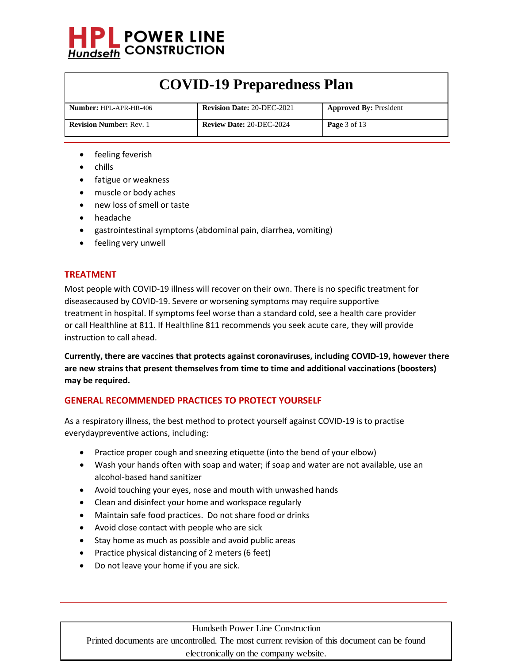

| <b>Number:</b> HPL-APR-HR-406  | <b>Revision Date: 20-DEC-2021</b> | <b>Approved By: President</b> |
|--------------------------------|-----------------------------------|-------------------------------|
| <b>Revision Number: Rev. 1</b> | <b>Review Date: 20-DEC-2024</b>   | <b>Page</b> $3$ of 13         |

- feeling feverish
- chills
- fatigue or weakness
- muscle or body aches
- new loss of smell or taste
- headache
- gastrointestinal symptoms (abdominal pain, diarrhea, vomiting)
- feeling very unwell

#### **TREATMENT**

Most people with COVID-19 illness will recover on their own. There is no specific treatment for diseasecaused by COVID-19. Severe or worsening symptoms may require supportive treatment in hospital. If symptoms feel worse than a standard cold, see a health care provider or call Healthline at 811. If Healthline 811 recommends you seek acute care, they will provide instruction to call ahead.

**Currently, there are vaccines that protects against coronaviruses, including COVID-19, however there are new strains that present themselves from time to time and additional vaccinations (boosters) may be required.**

#### **GENERAL RECOMMENDED PRACTICES TO PROTECT YOURSELF**

As a respiratory illness, the best method to protect yourself against COVID-19 is to practise everydaypreventive actions, including:

- Practice proper cough and sneezing etiquette (into the bend of your elbow)
- Wash your hands often with soap and water; if soap and water are not available, use an alcohol-based hand sanitizer
- Avoid touching your eyes, nose and mouth with unwashed hands
- Clean and disinfect your home and workspace regularly
- Maintain safe food practices. Do not share food or drinks
- Avoid close contact with people who are sick
- Stay home as much as possible and avoid public areas
- Practice physical distancing of 2 meters (6 feet)
- Do not leave your home if you are sick.

#### Hundseth Power Line Construction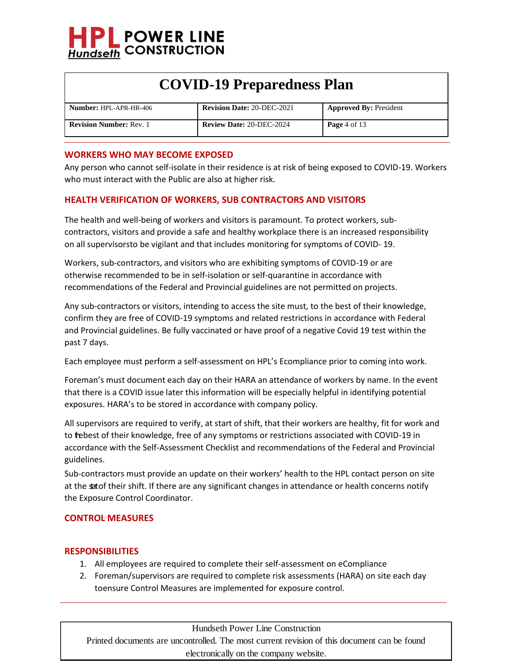

| <b>Number: HPL-APR-HR-406</b>  | <b>Revision Date: 20-DEC-2021</b> | <b>Approved By: President</b> |
|--------------------------------|-----------------------------------|-------------------------------|
| <b>Revision Number: Rev. 1</b> | <b>Review Date: 20-DEC-2024</b>   | <b>Page</b> 4 of 13           |

#### **WORKERS WHO MAY BECOME EXPOSED**

Any person who cannot self-isolate in their residence is at risk of being exposed to COVID-19. Workers who must interact with the Public are also at higher risk.

### **HEALTH VERIFICATION OF WORKERS, SUB CONTRACTORS AND VISITORS**

The health and well-being of workers and visitors is paramount. To protect workers, subcontractors, visitors and provide a safe and healthy workplace there is an increased responsibility on all supervisorsto be vigilant and that includes monitoring for symptoms of COVID- 19.

Workers, sub-contractors, and visitors who are exhibiting symptoms of COVID-19 or are otherwise recommended to be in self-isolation or self-quarantine in accordance with recommendations of the Federal and Provincial guidelines are not permitted on projects.

Any sub-contractors or visitors, intending to access the site must, to the best of their knowledge, confirm they are free of COVID-19 symptoms and related restrictions in accordance with Federal and Provincial guidelines. Be fully vaccinated or have proof of a negative Covid 19 test within the past 7 days.

Each employee must perform a self-assessment on HPL's Ecompliance prior to coming into work.

Foreman's must document each day on their HARA an attendance of workers by name. In the event that there is a COVID issue later this information will be especially helpful in identifying potential exposures. HARA's to be stored in accordance with company policy.

All supervisors are required to verify, at start of shift, that their workers are healthy, fit for work and to trebest of their knowledge, free of any symptoms or restrictions associated with COVID-19 in accordance with the Self-Assessment Checklist and recommendations of the Federal and Provincial guidelines.

Sub-contractors must provide an update on their workers' health to the HPL contact person on site at the satof their shift. If there are any significant changes in attendance or health concerns notify the Exposure Control Coordinator.

#### **CONTROL MEASURES**

#### **RESPONSIBILITIES**

- 1. All employees are required to complete their self-assessment on eCompliance
- 2. Foreman/supervisors are required to complete risk assessments (HARA) on site each day toensure Control Measures are implemented for exposure control.

Hundseth Power Line Construction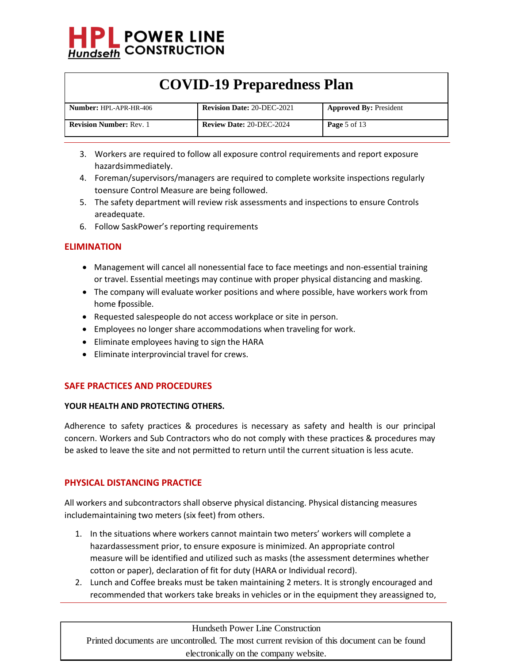

| <b>Number: HPL-APR-HR-406</b>  | <b>Revision Date: 20-DEC-2021</b> | <b>Approved By: President</b> |
|--------------------------------|-----------------------------------|-------------------------------|
| <b>Revision Number: Rev. 1</b> | <b>Review Date: 20-DEC-2024</b>   | <b>Page</b> 5 of 13           |

- 3. Workers are required to follow all exposure control requirements and report exposure hazardsimmediately.
- 4. Foreman/supervisors/managers are required to complete worksite inspections regularly toensure Control Measure are being followed.
- 5. The safety department will review risk assessments and inspections to ensure Controls areadequate.
- 6. Follow SaskPower's reporting requirements

### **ELIMINATION**

- Management will cancel all nonessential face to face meetings and non-essential training or travel. Essential meetings may continue with proper physical distancing and masking.
- The company will evaluate worker positions and where possible, have workers work from home fpossible.
- Requested salespeople do not access workplace or site in person.
- Employees no longer share accommodations when traveling for work.
- Eliminate employees having to sign the HARA
- Eliminate interprovincial travel for crews.

### **SAFE PRACTICES AND PROCEDURES**

#### **YOUR HEALTH AND PROTECTING OTHERS.**

Adherence to safety practices & procedures is necessary as safety and health is our principal concern. Workers and Sub Contractors who do not comply with these practices & procedures may be asked to leave the site and not permitted to return until the current situation is less acute.

### **PHYSICAL DISTANCING PRACTICE**

All workers and subcontractors shall observe physical distancing. Physical distancing measures includemaintaining two meters (six feet) from others.

- 1. In the situations where workers cannot maintain two meters' workers will complete a hazardassessment prior, to ensure exposure is minimized. An appropriate control measure will be identified and utilized such as masks (the assessment determines whether cotton or paper), declaration of fit for duty (HARA or Individual record).
- 2. Lunch and Coffee breaks must be taken maintaining 2 meters. It is strongly encouraged and recommended that workers take breaks in vehicles or in the equipment they areassigned to,

Hundseth Power Line Construction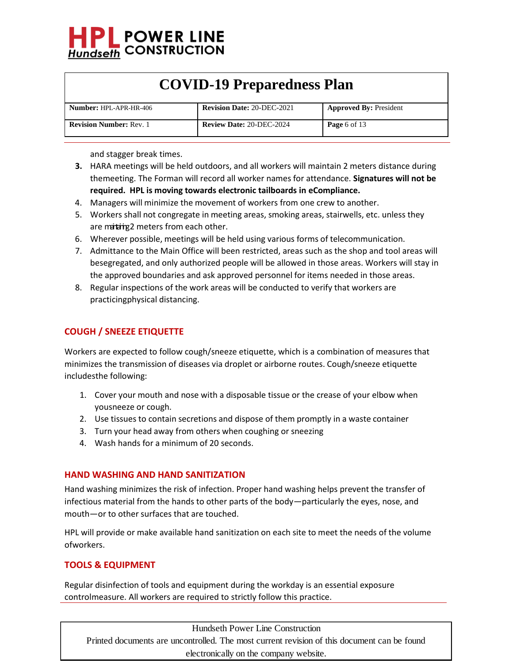

| <b>Number: HPL-APR-HR-406</b>  | <b>Revision Date: 20-DEC-2021</b> | <b>Approved By: President</b> |
|--------------------------------|-----------------------------------|-------------------------------|
| <b>Revision Number: Rev. 1</b> | <b>Review Date: 20-DEC-2024</b>   | <b>Page</b> 6 of 13           |

and stagger break times.

- **3.** HARA meetings will be held outdoors, and all workers will maintain 2 meters distance during themeeting. The Forman will record all worker names for attendance. **Signatures will not be required. HPL is moving towards electronic tailboards in eCompliance.**
- 4. Managers will minimize the movement of workers from one crew to another.
- 5. Workers shall not congregate in meeting areas, smoking areas, stairwells, etc. unless they are matring2 meters from each other.
- 6. Wherever possible, meetings will be held using various forms of telecommunication.
- 7. Admittance to the Main Office will been restricted, areas such as the shop and tool areas will besegregated, and only authorized people will be allowed in those areas. Workers will stay in the approved boundaries and ask approved personnel for items needed in those areas.
- 8. Regular inspections of the work areas will be conducted to verify that workers are practicingphysical distancing.

### **COUGH / SNEEZE ETIQUETTE**

Workers are expected to follow cough/sneeze etiquette, which is a combination of measures that minimizes the transmission of diseases via droplet or airborne routes. Cough/sneeze etiquette includesthe following:

- 1. Cover your mouth and nose with a disposable tissue or the crease of your elbow when yousneeze or cough.
- 2. Use tissues to contain secretions and dispose of them promptly in a waste container
- 3. Turn your head away from others when coughing or sneezing
- 4. Wash hands for a minimum of 20 seconds.

#### **HAND WASHING AND HAND SANITIZATION**

Hand washing minimizes the risk of infection. Proper hand washing helps prevent the transfer of infectious material from the hands to other parts of the body—particularly the eyes, nose, and mouth—or to other surfaces that are touched.

HPL will provide or make available hand sanitization on each site to meet the needs of the volume ofworkers.

#### **TOOLS & EQUIPMENT**

Regular disinfection of tools and equipment during the workday is an essential exposure controlmeasure. All workers are required to strictly follow this practice.

Hundseth Power Line Construction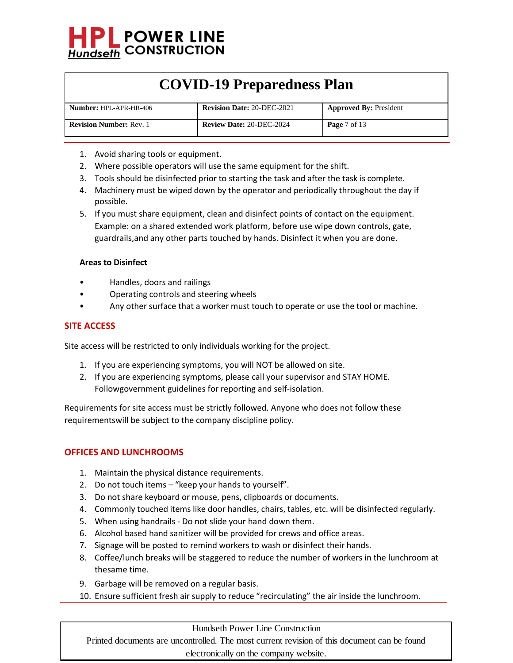

| <b>Number: HPL-APR-HR-406</b>  | <b>Revision Date: 20-DEC-2021</b> | <b>Approved By: President</b>  |
|--------------------------------|-----------------------------------|--------------------------------|
| <b>Revision Number: Rev. 1</b> | <b>Review Date: 20-DEC-2024</b>   | <b>Page</b> $7 \text{ of } 13$ |

- 1. Avoid sharing tools or equipment.
- 2. Where possible operators will use the same equipment for the shift.
- 3. Tools should be disinfected prior to starting the task and after the task is complete.
- 4. Machinery must be wiped down by the operator and periodically throughout the day if possible.
- 5. If you must share equipment, clean and disinfect points of contact on the equipment. Example: on a shared extended work platform, before use wipe down controls, gate, guardrails,and any other parts touched by hands. Disinfect it when you are done.

#### **Areas to Disinfect**

- Handles, doors and railings
- Operating controls and steering wheels
- Any other surface that a worker must touch to operate or use the tool or machine.

#### **SITE ACCESS**

Site access will be restricted to only individuals working for the project.

- 1. If you are experiencing symptoms, you will NOT be allowed on site.
- 2. If you are experiencing symptoms, please call your supervisor and STAY HOME. Followgovernment guidelines for reporting and self-isolation.

Requirements for site access must be strictly followed. Anyone who does not follow these requirementswill be subject to the company discipline policy.

#### **OFFICES AND LUNCHROOMS**

- 1. Maintain the physical distance requirements.
- 2. Do not touch items "keep your hands to yourself".
- 3. Do not share keyboard or mouse, pens, clipboards or documents.
- 4. Commonly touched items like door handles, chairs, tables, etc. will be disinfected regularly.
- 5. When using handrails Do not slide your hand down them.
- 6. Alcohol based hand sanitizer will be provided for crews and office areas.
- 7. Signage will be posted to remind workers to wash or disinfect their hands.
- 8. Coffee/lunch breaks will be staggered to reduce the number of workers in the lunchroom at thesame time.
- 9. Garbage will be removed on a regular basis.
- 10. Ensure sufficient fresh air supply to reduce "recirculating" the air inside the lunchroom.

#### Hundseth Power Line Construction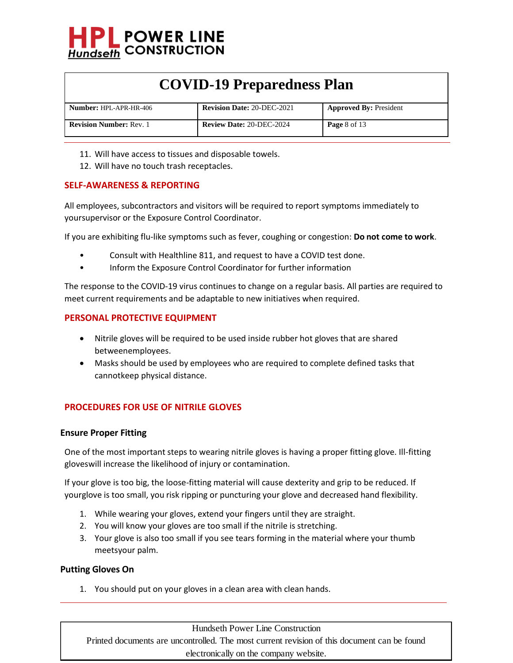

| <b>Number: HPL-APR-HR-406</b>  | <b>Revision Date: 20-DEC-2021</b> | <b>Approved By: President</b> |
|--------------------------------|-----------------------------------|-------------------------------|
| <b>Revision Number: Rev. 1</b> | <b>Review Date: 20-DEC-2024</b>   | <b>Page 8 of 13</b>           |

- 11. Will have access to tissues and disposable towels.
- 12. Will have no touch trash receptacles.

#### **SELF-AWARENESS & REPORTING**

All employees, subcontractors and visitors will be required to report symptoms immediately to yoursupervisor or the Exposure Control Coordinator.

If you are exhibiting flu‐like symptoms such as fever, coughing or congestion: **Do not come to work**.

- Consult with Healthline 811, and request to have a COVID test done.
- Inform the Exposure Control Coordinator for further information

The response to the COVID‐19 virus continues to change on a regular basis. All parties are required to meet current requirements and be adaptable to new initiatives when required.

#### **PERSONAL PROTECTIVE EQUIPMENT**

- Nitrile gloves will be required to be used inside rubber hot gloves that are shared betweenemployees.
- Masks should be used by employees who are required to complete defined tasks that cannotkeep physical distance.

#### **PROCEDURES FOR USE OF NITRILE GLOVES**

#### **Ensure Proper Fitting**

One of the most important steps to wearing nitrile gloves is having a proper fitting glove. Ill-fitting gloveswill increase the likelihood of injury or contamination.

If your glove is too big, the loose-fitting material will cause dexterity and grip to be reduced. If yourglove is too small, you risk ripping or puncturing your glove and decreased hand flexibility.

- 1. While wearing your gloves, extend your fingers until they are straight.
- 2. You will know your gloves are too small if the nitrile is stretching.
- 3. Your glove is also too small if you see tears forming in the material where your thumb meetsyour palm.

#### **Putting Gloves On**

1. You should put on your gloves in a clean area with clean hands.

Hundseth Power Line Construction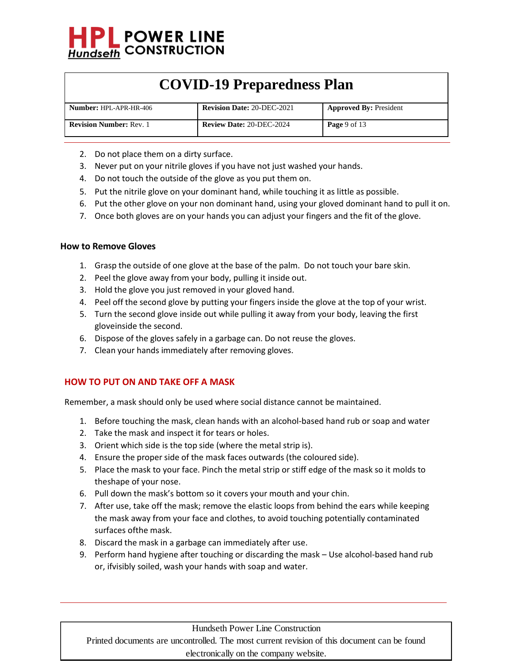

| <b>Number: HPL-APR-HR-406</b>  | <b>Revision Date: 20-DEC-2021</b> | <b>Approved By: President</b> |
|--------------------------------|-----------------------------------|-------------------------------|
| <b>Revision Number: Rev. 1</b> | <b>Review Date: 20-DEC-2024</b>   | <b>Page</b> 9 of 13           |

- 2. Do not place them on a dirty surface.
- 3. Never put on your nitrile gloves if you have not just washed your hands.
- 4. Do not touch the outside of the glove as you put them on.
- 5. Put the nitrile glove on your dominant hand, while touching it as little as possible.
- 6. Put the other glove on your non dominant hand, using your gloved dominant hand to pull it on.
- 7. Once both gloves are on your hands you can adjust your fingers and the fit of the glove.

#### **How to Remove Gloves**

- 1. Grasp the outside of one glove at the base of the palm. Do not touch your bare skin.
- 2. Peel the glove away from your body, pulling it inside out.
- 3. Hold the glove you just removed in your gloved hand.
- 4. Peel off the second glove by putting your fingers inside the glove at the top of your wrist.
- 5. Turn the second glove inside out while pulling it away from your body, leaving the first gloveinside the second.
- 6. Dispose of the gloves safely in a garbage can. Do not reuse the gloves.
- 7. Clean your hands immediately after removing gloves.

### **HOW TO PUT ON AND TAKE OFF A MASK**

Remember, a mask should only be used where social distance cannot be maintained.

- 1. Before touching the mask, clean hands with an alcohol-based hand rub or soap and water
- 2. Take the mask and inspect it for tears or holes.
- 3. Orient which side is the top side (where the metal strip is).
- 4. Ensure the proper side of the mask faces outwards (the coloured side).
- 5. Place the mask to your face. Pinch the metal strip or stiff edge of the mask so it molds to theshape of your nose.
- 6. Pull down the mask's bottom so it covers your mouth and your chin.
- 7. After use, take off the mask; remove the elastic loops from behind the ears while keeping the mask away from your face and clothes, to avoid touching potentially contaminated surfaces ofthe mask.
- 8. Discard the mask in a garbage can immediately after use.
- 9. Perform hand hygiene after touching or discarding the mask Use alcohol-based hand rub or, ifvisibly soiled, wash your hands with soap and water.

#### Hundseth Power Line Construction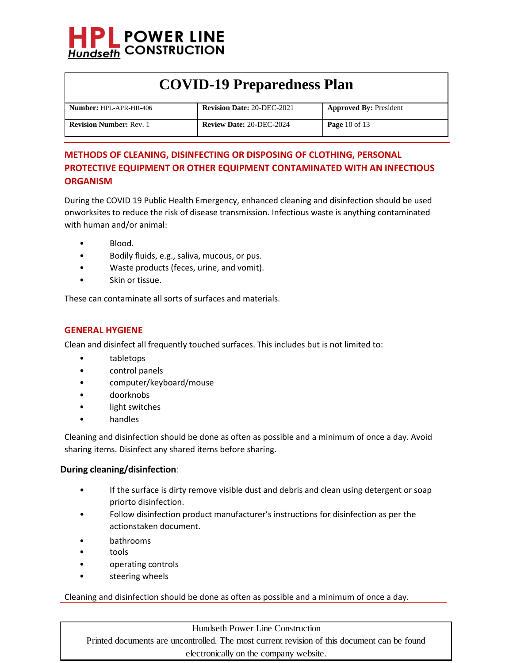

| <b>Number: HPL-APR-HR-406</b>  | <b>Revision Date: 20-DEC-2021</b> | <b>Approved By: President</b> |
|--------------------------------|-----------------------------------|-------------------------------|
| <b>Revision Number: Rev. 1</b> | <b>Review Date: 20-DEC-2024</b>   | <b>Page</b> 10 of 13          |

### **METHODS OF CLEANING, DISINFECTING OR DISPOSING OF CLOTHING, PERSONAL PROTECTIVE EQUIPMENT OR OTHER EQUIPMENT CONTAMINATED WITH AN INFECTIOUS ORGANISM**

During the COVID 19 Public Health Emergency, enhanced cleaning and disinfection should be used onworksites to reduce the risk of disease transmission. Infectious waste is anything contaminated with human and/or animal:

- Blood.
- Bodily fluids, e.g., saliva, mucous, or pus.
- Waste products (feces, urine, and vomit).
- Skin or tissue.

These can contaminate all sorts of surfaces and materials.

#### **GENERAL HYGIENE**

Clean and disinfect all frequently touched surfaces. This includes but is not limited to:

- tabletops
- control panels
- computer/keyboard/mouse
- doorknobs
- light switches
- handles

Cleaning and disinfection should be done as often as possible and a minimum of once a day. Avoid sharing items. Disinfect any shared items before sharing.

#### **During cleaning/disinfection**:

- If the surface is dirty remove visible dust and debris and clean using detergent or soap priorto disinfection.
- Follow disinfection product manufacturer's instructions for disinfection as per the actionstaken document.
- bathrooms
- tools
- operating controls
- steering wheels

Cleaning and disinfection should be done as often as possible and a minimum of once a day.

Hundseth Power Line Construction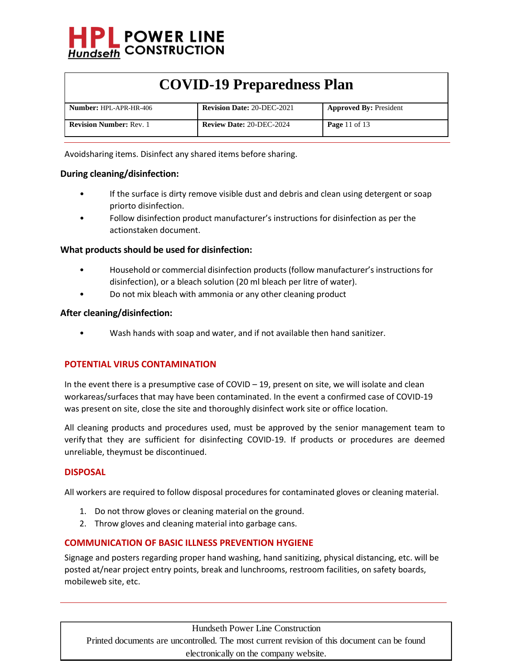

| <b>Number: HPL-APR-HR-406</b>  | <b>Revision Date: 20-DEC-2021</b> | <b>Approved By: President</b> |
|--------------------------------|-----------------------------------|-------------------------------|
| <b>Revision Number: Rev. 1</b> | <b>Review Date: 20-DEC-2024</b>   | <b>Page 11 of 13</b>          |

Avoidsharing items. Disinfect any shared items before sharing.

#### **During cleaning/disinfection:**

- If the surface is dirty remove visible dust and debris and clean using detergent or soap priorto disinfection.
- Follow disinfection product manufacturer's instructions for disinfection as per the actionstaken document.

#### **What products should be used for disinfection:**

- Household or commercial disinfection products (follow manufacturer's instructions for disinfection), or a bleach solution (20 ml bleach per litre of water).
- Do not mix bleach with ammonia or any other cleaning product

#### **After cleaning/disinfection:**

• Wash hands with soap and water, and if not available then hand sanitizer.

#### **POTENTIAL VIRUS CONTAMINATION**

In the event there is a presumptive case of COVID  $-19$ , present on site, we will isolate and clean workareas/surfaces that may have been contaminated. In the event a confirmed case of COVID-19 was present on site, close the site and thoroughly disinfect work site or office location.

All cleaning products and procedures used, must be approved by the senior management team to verify that they are sufficient for disinfecting COVID-19. If products or procedures are deemed unreliable, theymust be discontinued.

#### **DISPOSAL**

All workers are required to follow disposal procedures for contaminated gloves or cleaning material.

- 1. Do not throw gloves or cleaning material on the ground.
- 2. Throw gloves and cleaning material into garbage cans.

#### **COMMUNICATION OF BASIC ILLNESS PREVENTION HYGIENE**

Signage and posters regarding proper hand washing, hand sanitizing, physical distancing, etc. will be posted at/near project entry points, break and lunchrooms, restroom facilities, on safety boards, mobileweb site, etc.

Hundseth Power Line Construction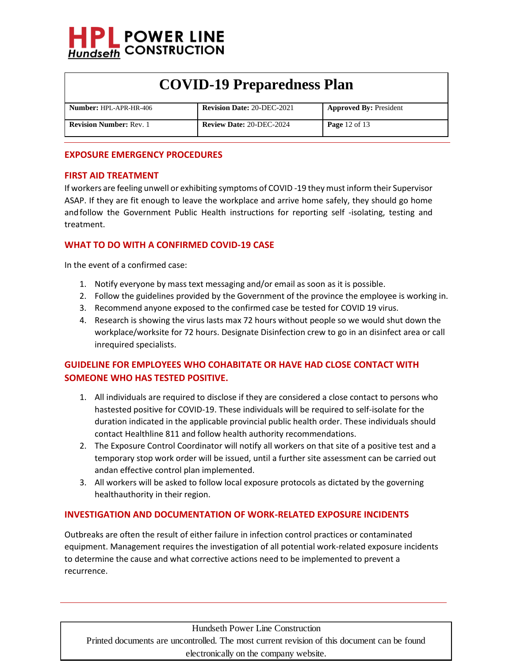

| <b>Number: HPL-APR-HR-406</b>  | <b>Revision Date: 20-DEC-2021</b> | <b>Approved By: President</b> |
|--------------------------------|-----------------------------------|-------------------------------|
|                                |                                   |                               |
| <b>Revision Number: Rev. 1</b> | <b>Review Date: 20-DEC-2024</b>   | <b>Page</b> 12 of 13          |
|                                |                                   |                               |
|                                |                                   |                               |

#### **EXPOSURE EMERGENCY PROCEDURES**

#### **FIRST AID TREATMENT**

If workers are feeling unwell or exhibiting symptoms of COVID -19 they must inform their Supervisor ASAP. If they are fit enough to leave the workplace and arrive home safely, they should go home andfollow the Government Public Health instructions for reporting self -isolating, testing and treatment.

#### **WHAT TO DO WITH A CONFIRMED COVID-19 CASE**

In the event of a confirmed case:

- 1. Notify everyone by mass text messaging and/or email as soon as it is possible.
- 2. Follow the guidelines provided by the Government of the province the employee is working in.
- 3. Recommend anyone exposed to the confirmed case be tested for COVID 19 virus.
- 4. Research is showing the virus lasts max 72 hours without people so we would shut down the workplace/worksite for 72 hours. Designate Disinfection crew to go in an disinfect area or call inrequired specialists.

### **GUIDELINE FOR EMPLOYEES WHO COHABITATE OR HAVE HAD CLOSE CONTACT WITH SOMEONE WHO HAS TESTED POSITIVE.**

- 1. All individuals are required to disclose if they are considered a close contact to persons who hastested positive for COVID-19. These individuals will be required to self-isolate for the duration indicated in the applicable provincial public health order. These individuals should contact Healthline 811 and follow health authority recommendations.
- 2. The Exposure Control Coordinator will notify all workers on that site of a positive test and a temporary stop work order will be issued, until a further site assessment can be carried out andan effective control plan implemented.
- 3. All workers will be asked to follow local exposure protocols as dictated by the governing healthauthority in their region.

#### **INVESTIGATION AND DOCUMENTATION OF WORK-RELATED EXPOSURE INCIDENTS**

Outbreaks are often the result of either failure in infection control practices or contaminated equipment. Management requires the investigation of all potential work-related exposure incidents to determine the cause and what corrective actions need to be implemented to prevent a recurrence.

Hundseth Power Line Construction